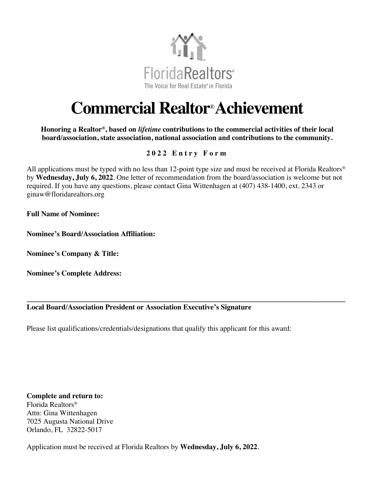

## **Commercial Realtor**®**Achievement**

**Honoring a Realtor®, based on** *lifetime* **contributions to the commercial activities of their local board/association, state association, national association and contributions to the community.**

## **202 2 Entry Form**

All applications must be typed with no less than 12-point type size and must be received at Florida Realtors® by **Wednesday, July 6, 2022**. One letter of recommendation from the board/association is welcome but not required. If you have any questions, please contact Gina Wittenhagen at (407) 438-1400, ext. 2343 or ginaw@floridarealtors.org

**\_\_\_\_\_\_\_\_\_\_\_\_\_\_\_\_\_\_\_\_\_\_\_\_\_\_\_\_\_\_\_\_\_\_\_\_\_\_\_\_\_\_\_\_\_\_\_\_\_\_\_\_\_\_\_\_\_\_\_\_\_\_\_\_\_\_\_\_\_\_\_\_\_\_\_\_\_\_\_\_\_\_\_\_\_\_\_**

**Full Name of Nominee:** 

**Nominee's Board/Association Affiliation:**

**Nominee's Company & Title:** 

**Nominee's Complete Address:**

## **Local Board/Association President or Association Executive's Signature**

Please list qualifications/credentials/designations that qualify this applicant for this award:

**Complete and return to:**  Florida Realtors®

Attn: Gina Wittenhagen 7025 Augusta National Drive Orlando, FL 32822-5017

Application must be received at Florida Realtors by **Wednesday, July 6, 2022**.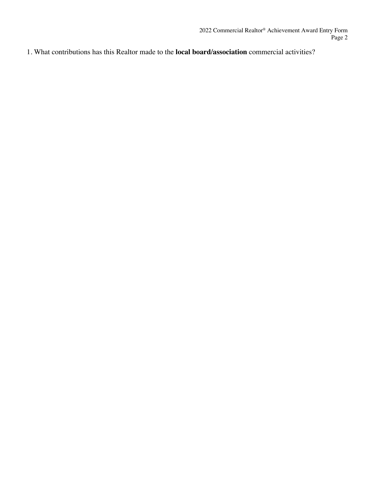1. What contributions has this Realtor made to the **local board/association** commercial activities?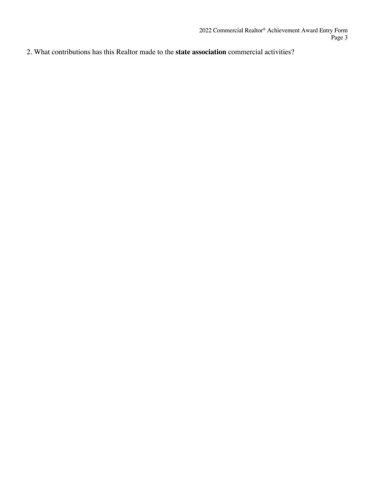2. What contributions has this Realtor made to the **state association** commercial activities?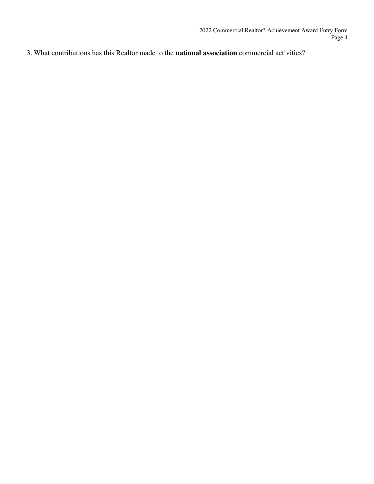3. What contributions has this Realtor made to the **national association** commercial activities?